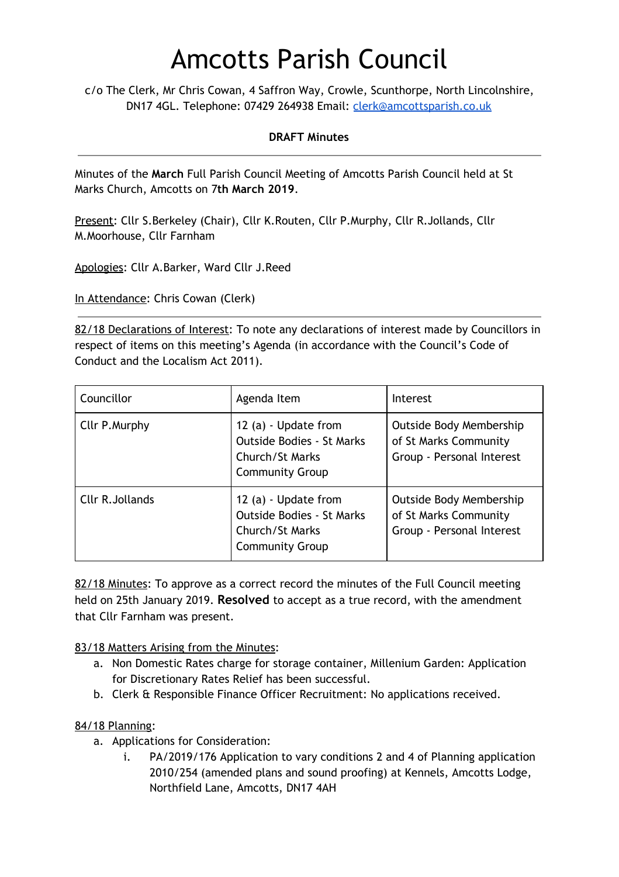# Amcotts Parish Council

c/o The Clerk, Mr Chris Cowan, 4 Saffron Way, Crowle, Scunthorpe, North Lincolnshire, DN17 4GL. Telephone: 07429 264938 Email: [clerk@amcottsparish.co.uk](mailto:clerk@amcottsparish.co.uk)

#### **DRAFT Minutes**

Minutes of the **March** Full Parish Council Meeting of Amcotts Parish Council held at St Marks Church, Amcotts on 7**th March 2019**.

Present: Cllr S.Berkeley (Chair), Cllr K.Routen, Cllr P.Murphy, Cllr R.Jollands, Cllr M.Moorhouse, Cllr Farnham

Apologies: Cllr A.Barker, Ward Cllr J.Reed

In Attendance: Chris Cowan (Clerk)

82/18 Declarations of Interest: To note any declarations of interest made by Councillors in respect of items on this meeting's Agenda (in accordance with the Council's Code of Conduct and the Localism Act 2011).

| Councillor       | Agenda Item                                                                                           | Interest                                                                      |
|------------------|-------------------------------------------------------------------------------------------------------|-------------------------------------------------------------------------------|
| Cllr P. Murphy   | 12 (a) - Update from<br><b>Outside Bodies - St Marks</b><br>Church/St Marks<br><b>Community Group</b> | Outside Body Membership<br>of St Marks Community<br>Group - Personal Interest |
| Cllr R. Jollands | 12 (a) - Update from<br><b>Outside Bodies - St Marks</b><br>Church/St Marks<br><b>Community Group</b> | Outside Body Membership<br>of St Marks Community<br>Group - Personal Interest |

82/18 Minutes: To approve as a correct record the minutes of the Full Council meeting held on 25th January 2019. **Resolved** to accept as a true record, with the amendment that Cllr Farnham was present.

83/18 Matters Arising from the Minutes:

- a. Non Domestic Rates charge for storage container, Millenium Garden: Application for Discretionary Rates Relief has been successful.
- b. Clerk & Responsible Finance Officer Recruitment: No applications received.

#### 84/18 Planning:

- a. Applications for Consideration:
	- i. PA/2019/176 Application to vary conditions 2 and 4 of Planning application 2010/254 (amended plans and sound proofing) at Kennels, Amcotts Lodge, Northfield Lane, Amcotts, DN17 4AH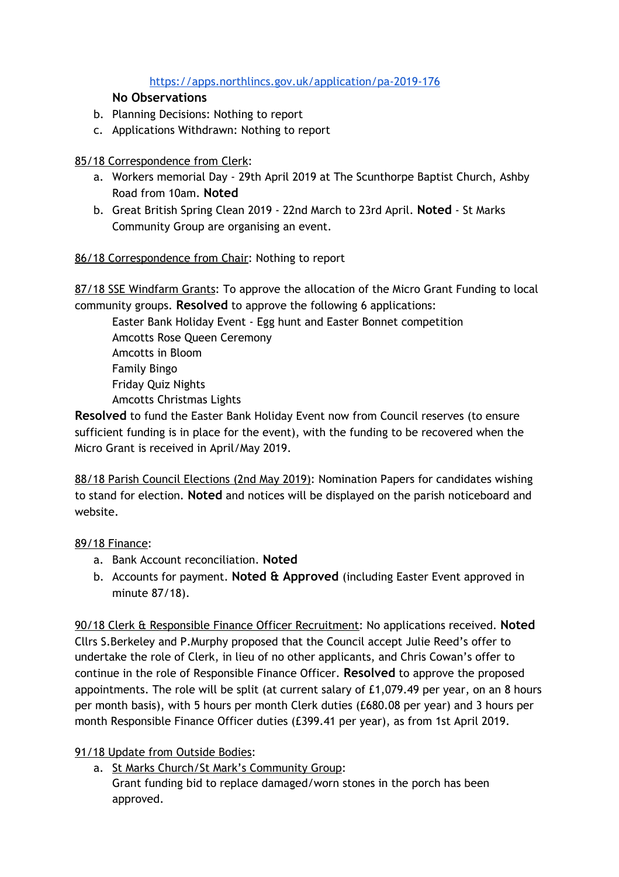## <https://apps.northlincs.gov.uk/application/pa-2019-176>

## **No Observations**

- b. Planning Decisions: Nothing to report
- c. Applications Withdrawn: Nothing to report

## 85/18 Correspondence from Clerk:

- a. Workers memorial Day 29th April 2019 at The Scunthorpe Baptist Church, Ashby Road from 10am. **Noted**
- b. Great British Spring Clean 2019 22nd March to 23rd April. **Noted**  St Marks Community Group are organising an event.

## 86/18 Correspondence from Chair: Nothing to report

87/18 SSE Windfarm Grants: To approve the allocation of the Micro Grant Funding to local community groups. **Resolved** to approve the following 6 applications:

Easter Bank Holiday Event - Egg hunt and Easter Bonnet competition Amcotts Rose Queen Ceremony Amcotts in Bloom Family Bingo Friday Quiz Nights Amcotts Christmas Lights

**Resolved** to fund the Easter Bank Holiday Event now from Council reserves (to ensure sufficient funding is in place for the event), with the funding to be recovered when the Micro Grant is received in April/May 2019.

88/18 Parish Council Elections (2nd May 2019): Nomination Papers for candidates wishing to stand for election. **Noted** and notices will be displayed on the parish noticeboard and website.

#### 89/18 Finance:

- a. Bank Account reconciliation. **Noted**
- b. Accounts for payment. **Noted & Approved** (including Easter Event approved in minute 87/18).

90/18 Clerk & Responsible Finance Officer Recruitment: No applications received. **Noted** Cllrs S.Berkeley and P.Murphy proposed that the Council accept Julie Reed's offer to undertake the role of Clerk, in lieu of no other applicants, and Chris Cowan's offer to continue in the role of Responsible Finance Officer. **Resolved** to approve the proposed appointments. The role will be split (at current salary of £1,079.49 per year, on an 8 hours per month basis), with 5 hours per month Clerk duties (£680.08 per year) and 3 hours per month Responsible Finance Officer duties (£399.41 per year), as from 1st April 2019.

## 91/18 Update from Outside Bodies:

a. St Marks Church/St Mark's Community Group:

Grant funding bid to replace damaged/worn stones in the porch has been approved.